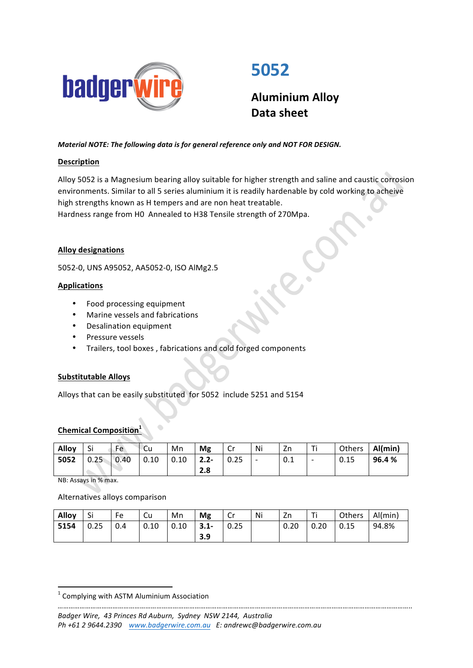

# **5052**

**Aluminium Alloy Data sheet**

# *Material NOTE: The following data is for general reference only and NOT FOR DESIGN.*

# **Description**

Alloy 5052 is a Magnesium bearing alloy suitable for higher strength and saline and caustic corrosion environments. Similar to all 5 series aluminium it is readily hardenable by cold working to acheive high strengths known as H tempers and are non heat treatable.

Hardness range from HO Annealed to H38 Tensile strength of 270Mpa.

# **Alloy designations**

5052-0, UNS A95052, AA5052-0, ISO AlMg2.5

# **Applications**

- Food processing equipment
- Marine vessels and fabrications
- Desalination equipment
- Pressure vessels
- Trailers, tool boxes, fabrications and cold forged components

#### **Substitutable Alloys**

Alloys that can be easily substituted for 5052 include 5251 and 5154

# **Chemical Composition**

| Alloy | Si   | Fe             | -Cu                | Mn           | Mg       | Cr   | Ni                       | Zn  | Τi                       | Others | Al(min) |
|-------|------|----------------|--------------------|--------------|----------|------|--------------------------|-----|--------------------------|--------|---------|
| 5052  | 0.25 | $\bigcup$ 0.40 | $\vert 0.10 \vert$ | $\vert$ 0.10 | $12.2 -$ | 0.25 | $\overline{\phantom{0}}$ | 0.1 | $\overline{\phantom{0}}$ | 0.15   | 96.4 %  |
|       |      |                |                    |              | 2.8      |      |                          |     |                          |        |         |

NB: Assays in % max.

Alternatives alloys comparison

| Alloy | -Si  | Fe  | Cu                 | Mn                 | Mg       | l Cr         | Ni | Zn   | <u>т:</u> | Others | $ $ Al(min) |
|-------|------|-----|--------------------|--------------------|----------|--------------|----|------|-----------|--------|-------------|
| 5154  | 0.25 | 0.4 | $\vert 0.10 \vert$ | $\vert 0.10 \vert$ | $ 3.1 -$ | $\vert$ 0.25 |    | 0.20 | 0.20      | 0.15   | 94.8%       |
|       |      |     |                    |                    | 3.9      |              |    |      |           |        |             |

<u> 1989 - Jan Samuel Barbara, margaret e</u>

#### *…………………………………………………………………………………………………………………………………………………………………………..* Badger Wire, 43 Princes Rd Auburn, Sydney NSW 2144, Australia *Ph +61 2 9644.2390  [www.badgerwire.com.au](http://www.badgerwire.com.au) E: andrewc@badgerwire.com.au*

 $1$  Complying with ASTM Aluminium Association